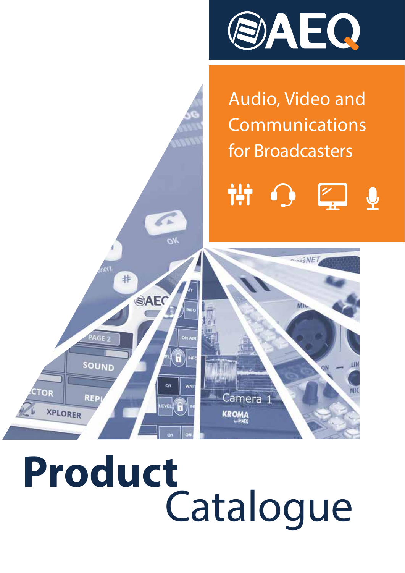

Audio, Video and Communications for Broadcasters

 $\frac{2}{1}$  $\mathbf{\varrho}$ 

 $\frac{1}{5}$ <sub>NE</sub>

M<sub>I</sub>

QN



 $\overline{\mathcal{O}_{K}}$ 

Qì

 $E = \sqrt{6}$ 

WA<sup></sup>

Camera

KROMA

 $R<sub>1</sub>$ 

AGE

**SOUND** 

**REP** 

TOR

XPLORER

#

OAEC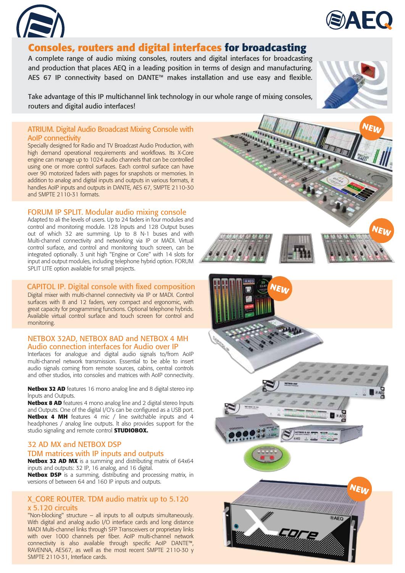



# **Consoles, routers and digital interfaces for broadcasting**

A complete range of audio mixing consoles, routers and digital interfaces for broadcasting and production that places AEQ in a leading position in terms of design and manufacturing. AES 67 IP connectivity based on DANTE™ makes installation and use easy and flexible.

Take advantage of this IP multichannel link technology in our whole range of mixing consoles, routers and digital audio interfaces!

#### ATRIUM. Digital Audio Broadcast Mixing Console with AoIP connectivity

Specially designed for Radio and TV Broadcast Audio Production, with high demand operational requirements and workflows. Its X-Core engine can manage up to 1024 audio channels that can be controlled using one or more control surfaces. Each control surface can have over 90 motorized faders with pages for snapshots or memories. In addition to analog and digital inputs and outputs in various formats, it handles AoIP inputs and outputs in DANTE, AES 67, SMPTE 2110-30 and SMPTE 2110-31 formats.

## FORUM IP SPLIT. Modular audio mixing console

Adapted to ali the levels of users. Up to 24 faders in four modules and control and monitoring module. 128 lnputs and 128 Output buses out of which 32 are summing. Up to 8 N-1 buses and with Multi-channel connectivity and networking via IP or MADI. Virtual control surface, and control and monitoring touch screen, can be integrated optionally. 3 unit high "Engine or Core" with 14 slots for input and output modules, including telephone hybrid option. FORUM SPLIT LITE option available for small projects.

#### CAPITOL IP. Digital console with fixed composition

Digital mixer with multi-channel connectivity via IP or MADI. Control surfaces with 8 and 12 faders, very compact and ergonomic, with great capacity for programming functions. Optional telephone hybrids. Available virtual control surface and touch screen for control and monitoring.

#### NETBOX 32AD, NETBOX 8AD and NETBOX 4 MH Audio connection interfaces for Audio over IP

Interfaces for analogue and digital audio signals to/from AoIP multi-channel network transmission. Essential to be able to insert audio signals coming from remote sources, cabins, central controls and other studios, into consoles and matrices with AoIP connectivity.

**Netbox 32 AD** features 16 mono analog line and 8 digital stereo inp lnputs and Outputs.

**Netbox 8 AD** features 4 mono analog line and 2 digital stereo lnputs and Outputs. One of the digital I/O's can be configured as a USB port. **Netbox 4 MH** features 4 mic / line switchable inputs and 4 headphones / analog line outputs. lt also provides support for the studio signaling and remote control **STUDIOBOX.**

## 32 AD MX and NETBOX DSP

## TDM matrices with IP inputs and outputs

**Netbox 32 AD MX** is a summing and distributing matrix of 64x64 inputs and outputs: 32 IP, 16 analog, and 16 digital. **Netbox DSP** is a summing, distributing and processing matrix, in versions of between 64 and 160 IP inputs and outputs.

## X\_CORE ROUTER. TDM audio matrix up to 5.120 x 5.120 circuits

"Non-blocking" structure – all inputs to all outputs simultaneously. With digital and analog audio I/O interface cards and long distance MADI Multi-channel links through SFP Transceivers or proprietary links with over 1000 channels per fiber. AoIP multi-channel network connectivity is also available through specific AoIP DANTE™, RAVENNA, AES67, as well as the most recent SMPTE 2110-30 y SMPTE 2110-31, Interface cards.

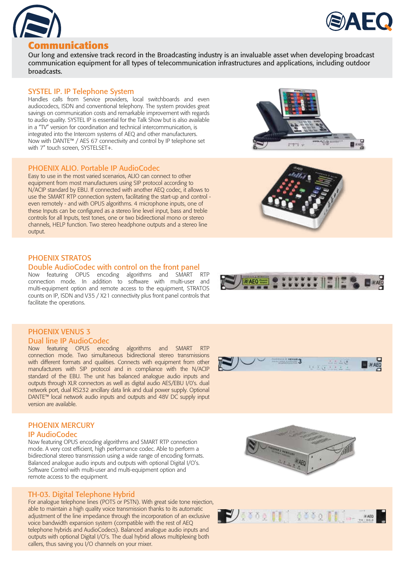



## **Communications**

Our long and extensive track record in the Broadcasting industry is an invaluable asset when developing broadcast communication equipment for all types of telecommunication infrastructures and applications, including outdoor broadcasts.

## SYSTEL IP. IP Telephone System

Handles calls from Service providers, local switchboards and even audiocodecs, ISDN and conventional telephony. The system provides great savings on communication costs and remarkable improvement with regards to audio quality. SYSTEL IP is essential for the Talk Show but is also available in a "TV" version for coordination and technical intercommunication, is integrated into the Intercom systems of AEQ and other manufacturers. Now with DANTE™ / AES 67 connectivity and control by IP telephone set with 7" touch screen, SYSTELSET+.

#### PHOENIX ALIO. Portable IP AudioCodec

Easy to use in the most varied scenarios, ALIO can connect to other equipment from most manufacturers using SIP protocol according to N/ACIP standard by EBU. If connected with another AEQ codec, it allows to use the SMART RTP connection system, facilitating the start-up and control even remotely - and with OPUS algorithms. 4 microphone inputs, one of these Inputs can be configured as a stereo line level input, bass and treble controls for all Inputs, test tones, one or two bidirectional mono or stereo channels, HELP function. Two stereo headphone outputs and a stereo line output.

## PHOENIX STRATOS

#### Double AudioCodec with control on the front panel

Now featuring OPUS encoding algorithms and SMART RTP connection mode. In addition to software with multi-user and multi-equipment option and remote access to the equipment, STRATOS counts on IP, ISDN and V35 / X21 connectivity plus front panel controls that facilitate the operations.

### PHOENIX VENUS 3 Dual line IP AudioCodec

Now featuring OPUS encoding algorithms and SMART RTP connection mode. Two simultaneous bidirectional stereo transmissions with different formats and qualities. Connects with equipment from other manufacturers with SIP protocol and in compliance with the N/ACIP standard of the EBU. The unit has balanced analogue audio inputs and outputs through XLR connectors as well as digital audio AES/EBU I/0's. dual network port, dual RS232 ancillary data link and dual power supply. Optional DANTE™ local network audio inputs and outputs and 48V DC supply input version are available.

## PHOENIX MERCURY IP AudioCodec

Now featuring OPUS encoding algorithms and SMART RTP connection mode. A very cost efficient, high performance codec. Able to perform a bidirectional stereo transmission using a wide range of encoding formats. Balanced analogue audio inputs and outputs with optional Digital I/O's. Software Control with multi-user and multi-equipment option and remote access to the equipment.

## TH-03. Digital Telephone Hybrid

For analogue telephone lines (POTS or PSTN). With great side tone rejection, able to maintain a high quality voice transmission thanks to its automatic adjustment of the line impedance through the incorporation of an exclusive voice bandwidth expansion system (compatible with the rest of AEQ telephone hybrids and AudioCodecs). Balanced analogue audio inputs and outputs with optional Digital I/O's. The dual hybrid allows multiplexing both callers, thus saving you I/O channels on your mixer.









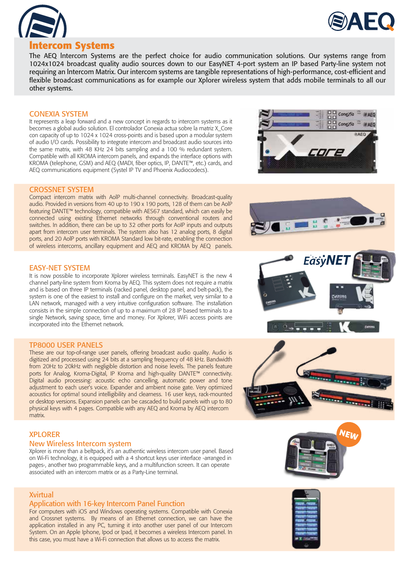



## **lntercom Systems**

The AEQ lntercom Systems are the perfect choice for audio communication solutions. Our systems range from 1024x1024 broadcast quality audio sources down to our EasyNET 4-port system an IP based Party-line system not requiring an lntercom Matrix. Our intercom systems are tangible representations of high-performance, cost-efficient and flexible broadcast communications as for example our Xplorer wireless system that adds mobile terminals to all our other systems.

#### CONEXIA SYSTEM

It represents a leap forward and a new concept in regards to intercom systems as it becomes a global audio solution. El controlador Conexia actua sobre la matriz X\_Core con capacity of up to 1024 x 1024 cross-points and is based upon a modular system of audio I/O cards. Possibility to integrate intercom and broadcast audio sources into the same matrix, with 48 KHz 24 bits sampling and a 100 % redundant system. Compatible with all KROMA intercom panels, and expands the interface options with KROMA (telephone, GSM) and AEQ (MADI, fiber optics, IP, DANTE™, etc.) cards, and AEQ communications equipment (Systel IP TV and Phoenix Audiocodecs).



#### CROSSNET SYSTEM

Compact intercom matrix with AolP multi-channel connectivity. Broadcast-quality audio. Provided in versions from 40 up to 190 x 190 ports, 128 of them can be AolP featuring DANTE™ technology, compatible with AES67 standard, which can easily be connected using existing Ethernet networks through conventional routers and switches. In addition, there can be up to 32 other ports for AoIP inputs and outputs apart from intercom user terminals. The system also has 12 analog ports, 8 digital ports, and 20 AolP ports with KROMA Standard low bit-rate, enabling the connection of wireless intercoms, ancillary equipment and AEQ and KROMA by AEQ panels.

#### EASY-NET SYSTEM

It is now possible to incorporate Xplorer wireless terminals. EasyNET is the new 4 channel party-line system from Kroma by AEQ. This system does not require a matrix and is based on three IP terminals (racked panel, desktop panel, and belt-pack), the system is one of the easiest to install and configure on the market, very similar to a LAN network, managed with a very intuitive configuration software. The installation consists in the simple connection of up to a maximum of 28 IP based terminals to a single Network, saving space, time and money. For Xplorer, WiFi access points are incorporated into the Ethernet network.

#### TP8000 USER PANELS

These are our top-of-range user panels, offering broadcast audio quality. Audio is digitized and processed using 24 bits at a sampling frequency of 48 kHz. Bandwidth from 20Hz to 20kHz with negligible distortion and noise levels. The panels feature ports for Analog, Kroma-Digital, IP Kroma and high-quality DANTE™ connectivity. Digital audio processing: acoustic echo cancelling, automatic power and tone adjustment to each user's voice. Expander and ambient noise gate. Very optimized acoustics for optima! sound intelligibility and clearness. 16 user keys, rack-mounted or desktop versions. Expansion panels can be cascaded to build panels with up to 80 physical keys with 4 pages. Compatible with any AEQ and Kroma by AEQ intercom matrix.

#### XPLORER

#### New Wireless Intercom system

Xplorer is more than a beltpack, it's an authentic wireless intercom user panel. Based on Wi-Fi technology, it is equipped with a 4 shortcut keys user interface -arranged in pages-, another two programmable keys, and a multifunction screen. It can operate associated with an intercom matrix or as a Party-Line terminal.

#### Xvirtual

#### Application with 16-key Intercom Panel Function

For computers with iOS and Windows operating systems. Compatible with Conexia and Crossnet systems. By means of an Ethernet connection, we can have the application installed in any PC, turning it into another user panel of our Intercom System. On an Apple Iphone, Ipod or Ipad, it becomes a wireless Intercom panel. In this case, you must have a Wi-Fi connection that allows us to access the matrix.









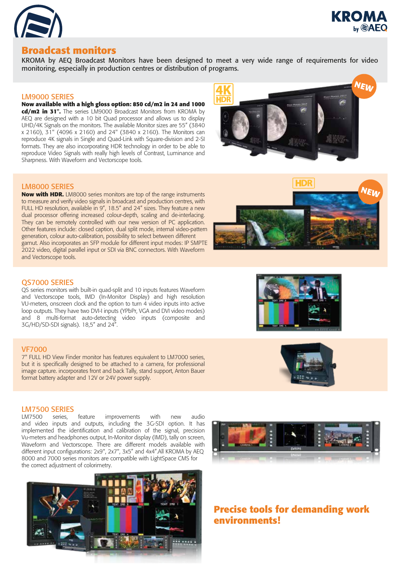



## **Broadcast monitors**

KROMA by AEQ Broadcast Monitors have been designed to meet a very wide range of requirements for video monitoring, especially in production centres or distribution of programs.

#### LM9000 SERIES

#### **Now available with a high gloss option: 850 cd/m2 in 24 and 1000**

**cd/m2 in 31".** The series LM9000 Broadcast Monitors from KROMA by AEQ are designed with a 10 bit Quad processor and allows us to display UHD/4K Signals on the monitors. The available Monitor sizes are 55" (3840 x 2160), 31" (4096 x 2160) and 24" (3840 x 2160). The Monitors can reproduce 4K signals in Single and Quad-Link with Square-division and 2-SI formats. They are also incorporating HDR technology in order to be able to reproduce Video Signals with really high levels of Contrast, Luminance and Sharpness. With Waveform and Vectorscope tools.



#### LM8000 SERIES

**Now with HDR.** LM8000 series monitors are top of the range instruments to measure and verify video signals in broadcast and production centres, with FULL HD resolution, available in 9", 18.5" and 24" sizes. They feature a new dual processor offering increased colour-depth, scaling and de-interlacing. They can be remotely controlled with our new version of PC application. Other features include: closed caption, dual split mode, internal video-pattern generation, colour auto-calibration, possibility to select between different gamut. Also incorporates an SFP module for different input modes: IP SMPTE 2022 video, digital parallel input or SDI via BNC connectors. With Waveform and Vectorscope tools.



#### QS7000 SERIES

QS series monitors with built-in quad-split and 10 inputs features Waveform and Vectorscope tools, IMD (In-Monitor Display) and high resolution VU-meters, onscreen clock and the option to turn 4 video inputs into active loop outputs. They have two DVI-I inputs (YPbPr, VGA and DVI video modes) and 8 multi-format auto-detecting video inputs (composite and 3G/HD/SD-SDI signals). 18,5" and 24".

#### VF7000

7" FULL HD View Finder monitor has features equivalent to LM7000 series, but it is specifically designed to be attached to a camera, for professional image capture. incorporates front and back Tally, stand support, Anton Bauer format battery adapter and 12V or 24V power supply.

# **LM7500 SERIES**<br>LM7500 series.

LM7500 series, feature improvements with new audio and video inputs and outputs, including the 3G-SDI option. It has implemented the identification and calibration of the signal, precision Vu-meters and headphones output, In-Monitor display (IMD), tally on screen, Waveform and Vectorscope. There are different models available with different input configurations: 2x9", 2x7", 3x5" and 4x4".All KROMA by AEQ 8000 and 7000 series monitors are compatible with LightSpace CMS for the correct adjustment of colorimetry.





## **Precise tools for demanding work environments!**